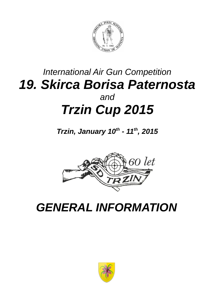

## *International Air Gun Competition 19. Skirca Borisa Paternosta and Trzin Cup 2015*

*Trzin, January 10th - 11th, 2015*



## *GENERAL INFORMATION*

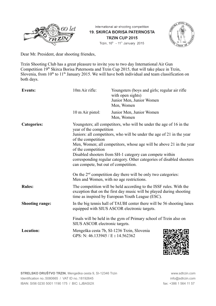

International air shooting competition **19. SKIRCA BORISA PATERNOSTA** TRZIN CUP 2015 Trzin, 10<sup>th</sup> - 11<sup>th</sup> January 2015



Dear Mr. President, dear shooting friendes,

Trzin Shooting Club has a great pleasure to invite you to two day International Air Gun Competition 19<sup>th</sup> Skirca Borisa Paternosta and Trzin Cup 2015, that will take place in Trzin, Slovenia, from  $10<sup>th</sup>$  to  $11<sup>th</sup>$  January 2015. We will have both individual and team classification on both days.

| <b>Events:</b>         | 10m Air rifle:                                                                                                                                                                                                                                                                                                                                                                                                                                                         | Youngsters (boys and girls; regular air rifle<br>with open sights)<br>Junior Men, Junior Women<br>Men, Women                                                                                   |  |
|------------------------|------------------------------------------------------------------------------------------------------------------------------------------------------------------------------------------------------------------------------------------------------------------------------------------------------------------------------------------------------------------------------------------------------------------------------------------------------------------------|------------------------------------------------------------------------------------------------------------------------------------------------------------------------------------------------|--|
|                        | 10 m Air pistol:                                                                                                                                                                                                                                                                                                                                                                                                                                                       | Junior Men, Junior Women<br>Men, Women                                                                                                                                                         |  |
| <b>Categories:</b>     | Youngsters; all competitors, who will be under the age of 16 in the<br>year of the competition<br>Juniors: all competitors, who will be under the age of 21 in the year<br>of the competition<br>Men, Women; all competitors, whose age will be above 21 in the year<br>of the competition<br>Disabled shooters from SH-1 category can compete within<br>corresponding regular category. Other categories of disabled shooters<br>can compete, but out of competition. |                                                                                                                                                                                                |  |
|                        | Men and Women, with no age restrictions.                                                                                                                                                                                                                                                                                                                                                                                                                               | On the $2nd$ competition day there will be only two categories:                                                                                                                                |  |
| <b>Rules:</b>          |                                                                                                                                                                                                                                                                                                                                                                                                                                                                        | The competition will be held according to the ISSF rules. With the<br>exception that on the first day music will be played during shooting<br>time as inspired by European Youth League (ESC). |  |
| <b>Shooting range:</b> |                                                                                                                                                                                                                                                                                                                                                                                                                                                                        | In the big tennis hall of TAUBI center there will be 56 shooting lanes<br>equipped with SIUS ASCOR electronic targets.                                                                         |  |
|                        | SIUS ASCOR electronic targets.                                                                                                                                                                                                                                                                                                                                                                                                                                         | Finals will be held in the gym of Primary school of Trzin also on                                                                                                                              |  |
| Location:              | GPS: N: 46.133945 / E: 14.562362                                                                                                                                                                                                                                                                                                                                                                                                                                       | Mengeška cesta 7b, SI-1236 Trzin, Slovenia                                                                                                                                                     |  |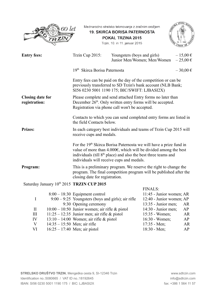|                                          | 60 let |                                                                                                                                                                                                                                                                                        | Mednarodno strelsko tekmovanje z zračnim orožjem<br><b>19. SKIRCA BORISA PATERNOSTA</b><br>POKAL TRZINA 2015<br>Trzin, 10. in 11. januar 2015 |                             |                              |
|------------------------------------------|--------|----------------------------------------------------------------------------------------------------------------------------------------------------------------------------------------------------------------------------------------------------------------------------------------|-----------------------------------------------------------------------------------------------------------------------------------------------|-----------------------------|------------------------------|
| <b>Entry fees:</b>                       |        | Trzin Cup 2015:                                                                                                                                                                                                                                                                        | Youngsters (boys and girls)                                                                                                                   | Junior Men/Women; Men/Women | $-15,00 \in$<br>$-25,00 \in$ |
|                                          |        | 19 <sup>th</sup> Skirca Borisa Paternosta                                                                                                                                                                                                                                              |                                                                                                                                               |                             | $-30,00 \in$                 |
|                                          |        | Entry fees can be paid on the day of the competition or can be<br>previously transferred to SD Trzin's bank account (NLB Bank;<br>SI56 0230 5001 1190 175; BIC/SWIFT: LJBASI2X)                                                                                                        |                                                                                                                                               |                             |                              |
| <b>Closing date for</b><br>registration: |        | Please complete and send attached Entry forms no later than<br>December 26 <sup>th</sup> . Only written entry forms will be accepted.<br>Registration via phone call won't be accepted.                                                                                                |                                                                                                                                               |                             |                              |
|                                          |        | Contacts to which you can send completed entry forms are listed in<br>the field Contacts below.                                                                                                                                                                                        |                                                                                                                                               |                             |                              |
| <b>Prizes:</b>                           |        | In each category best individuals and teams of Trzin Cup 2015 will<br>receive cups and medals.                                                                                                                                                                                         |                                                                                                                                               |                             |                              |
|                                          |        | For the 19 <sup>th</sup> Skirca Borisa Paternosta we will have a prize fund in<br>value of more than $4.000\epsilon$ , which will be divided among the best<br>individuals (till 8 <sup>th</sup> place) and also the best three teams and<br>individuals will receive cups and medals. |                                                                                                                                               |                             |                              |
| Program:                                 |        | This is a preliminary program. We reserve the right to change the<br>program. The final competition program will be published after the<br>closing date for registration.                                                                                                              |                                                                                                                                               |                             |                              |
|                                          |        | Saturday January 10th 2015 TRZIN CUP 2015                                                                                                                                                                                                                                              |                                                                                                                                               |                             |                              |
|                                          |        |                                                                                                                                                                                                                                                                                        |                                                                                                                                               | <b>FINALS:</b>              |                              |
|                                          |        | $8:00 - 18:30$ Equipment control                                                                                                                                                                                                                                                       |                                                                                                                                               | 11:45 - Junior women; AR    |                              |
| I                                        |        | $9:00 - 9:25$ Youngsters (boys and girls); air rifle                                                                                                                                                                                                                                   |                                                                                                                                               | 12:40 - Junior women; AP    |                              |
|                                          |        | 9:30 Opening ceremony                                                                                                                                                                                                                                                                  |                                                                                                                                               | 13:35 - Junior men;         | AR                           |
| $\mathop{\rm II}\nolimits$               |        | $10:00 - 10:50$ Junior women; air rifle & pistol                                                                                                                                                                                                                                       |                                                                                                                                               | 14:30 - Junior men;         | AP                           |
| III                                      |        | $11:25 - 12:35$ Junior men; air rifle & pistol                                                                                                                                                                                                                                         |                                                                                                                                               | 15:35 - Women;              | <b>AR</b>                    |

IV  $13:10-14:00$  Women; air rifle & pistol V 14:35 – 15:50 Men; air rifle

VI 16:25 – 17:40 Men; air pistol

16:30 - Women; AP 17:35 - Men; AR 18:30 - Men; AP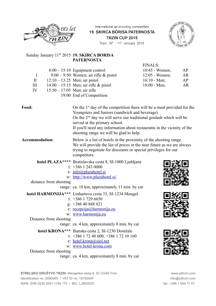

International air shooting competition **19. SKIRCA BORISA PATERNOSTA** TRZIN CUP 2015 Trzin, 10<sup>th</sup> - 11<sup>th</sup> January 2015



## Sunday January 11<sup>th</sup> 2015 **19. SKIRCA BORISA PATERNOSTA**

|              |                                |                                         | <b>FINALS:</b>         |           |
|--------------|--------------------------------|-----------------------------------------|------------------------|-----------|
|              |                                | $8:00-15:10$ Equipment control          | $10:45$ - Women;       | AP        |
|              |                                | $9:00 - 9:50$ Women; air rifle & pistol | $12:05$ - Women;       | AR        |
| $\mathbf{I}$ |                                | $12:10 - 13:25$ Men; air pistol         | $16:10 - \text{Men}$ ; | AP        |
| $\mathbf{H}$ |                                | $14:00 - 15:15$ Men; air rifle & pistol | $18:00 - Men$ ;        | <b>AR</b> |
| IV           | $15:50 - 17:05$ Men; air rifle |                                         |                        |           |
|              |                                | 19:00 End of Competition                |                        |           |
|              |                                |                                         |                        |           |

| Food:                  | On the $1st$ day of the competition there will be a meal provided for the<br>Youngsters and Juniors (sandwich and beverage).<br>On the $2nd$ day we will serve our traditional goulash which will be<br>served at the primary school.<br>If you'll need any information about restaurants in the vicinity of the<br>shooting range we will be glad to help. |
|------------------------|-------------------------------------------------------------------------------------------------------------------------------------------------------------------------------------------------------------------------------------------------------------------------------------------------------------------------------------------------------------|
| Accommodation:         | Below is a list of hotels in the proximity of the shooting range.<br>We will provide the list of prices in the near future as we are always<br>trying to negotiate for discounts or special privileges for our<br>competitors.                                                                                                                              |
| distance from shooting | hotel PLAZA**** Bratislavska cesta 8, SI-1000 Ljubljana<br>t: $+386$ 1 243 0000<br>e: info@plazahotel.si<br>w: http://www.plazahotel.si/<br>range: ca. 10 km, approximately 11 min. by car                                                                                                                                                                  |
| Distance from shooting | hotel HARMONIJA*** Linhartova cesta 33, SI-1234 Mengeš<br>t: $+386$ 1 729 6650<br>$g$ : +386 40 888 021<br>e: recepcija@harmonija.eu<br>w: www.harmonija.eu<br>range: ca. 4 km, approximately 8 min. by car                                                                                                                                                 |
| Distance from shooting | hotel KRONA*** Ihanska cesta 2, SI-1230 Domžale<br>t: +386 1 72 40 600; +386 1 72 10 160<br>e: hotel.krona@siol.net<br>w: www.hotel-krona.com<br>range: ca. 4 km, approximately 8 min. by car                                                                                                                                                               |

**STRELSKO DRUŠTVO TRZIN**, Mengeška cesta 9, SI-12346 Trzin **www.sdtrzin.com** www.sdtrzin.com Identification no.:5080665 / VAT ID no.:18192645 info@sdtrzin.com IBAN: SI56 0230 5001 1190 175 / BIC: LJBASI2X fax: +386 1 564 11 57